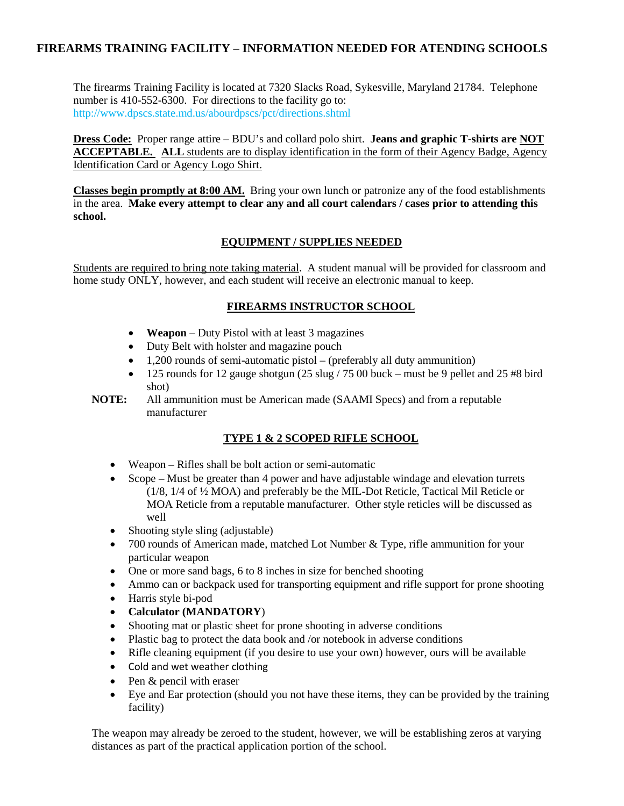# **FIREARMS TRAINING FACILITY – INFORMATION NEEDED FOR ATENDING SCHOOLS**

The firearms Training Facility is located at 7320 Slacks Road, Sykesville, Maryland 21784. Telephone number is 410-552-6300. For directions to the facility go to: http://www.dpscs.state.md.us/abourdpscs/pct/directions.shtml

**Dress Code:** Proper range attire – BDU's and collard polo shirt. **Jeans and graphic T-shirts are NOT ACCEPTABLE. ALL** students are to display identification in the form of their Agency Badge, Agency Identification Card or Agency Logo Shirt.

**Classes begin promptly at 8:00 AM.** Bring your own lunch or patronize any of the food establishments in the area. **Make every attempt to clear any and all court calendars / cases prior to attending this school.**

#### **EQUIPMENT / SUPPLIES NEEDED**

Students are required to bring note taking material. A student manual will be provided for classroom and home study ONLY, however, and each student will receive an electronic manual to keep.

## **FIREARMS INSTRUCTOR SCHOOL**

- **Weapon** Duty Pistol with at least 3 magazines
- Duty Belt with holster and magazine pouch
- 1,200 rounds of semi-automatic pistol (preferably all duty ammunition)
- 125 rounds for 12 gauge shotgun  $(25 \text{ slug} / 7500 \text{ buck} \text{must be 9 pellet}$  and  $25 \text{ #8 bird}$ shot)

**NOTE:** All ammunition must be American made (SAAMI Specs) and from a reputable manufacturer

## **TYPE 1 & 2 SCOPED RIFLE SCHOOL**

- Weapon Rifles shall be bolt action or semi-automatic
- Scope Must be greater than 4 power and have adjustable windage and elevation turrets (1/8, 1/4 of ½ MOA) and preferably be the MIL-Dot Reticle, Tactical Mil Reticle or MOA Reticle from a reputable manufacturer. Other style reticles will be discussed as well
- Shooting style sling (adjustable)
- 700 rounds of American made, matched Lot Number & Type, rifle ammunition for your particular weapon
- One or more sand bags, 6 to 8 inches in size for benched shooting
- Ammo can or backpack used for transporting equipment and rifle support for prone shooting
- Harris style bi-pod
- **Calculator (MANDATORY**)
- Shooting mat or plastic sheet for prone shooting in adverse conditions
- Plastic bag to protect the data book and /or notebook in adverse conditions
- Rifle cleaning equipment (if you desire to use your own) however, ours will be available
- Cold and wet weather clothing
- Pen & pencil with eraser
- Eye and Ear protection (should you not have these items, they can be provided by the training facility)

The weapon may already be zeroed to the student, however, we will be establishing zeros at varying distances as part of the practical application portion of the school.